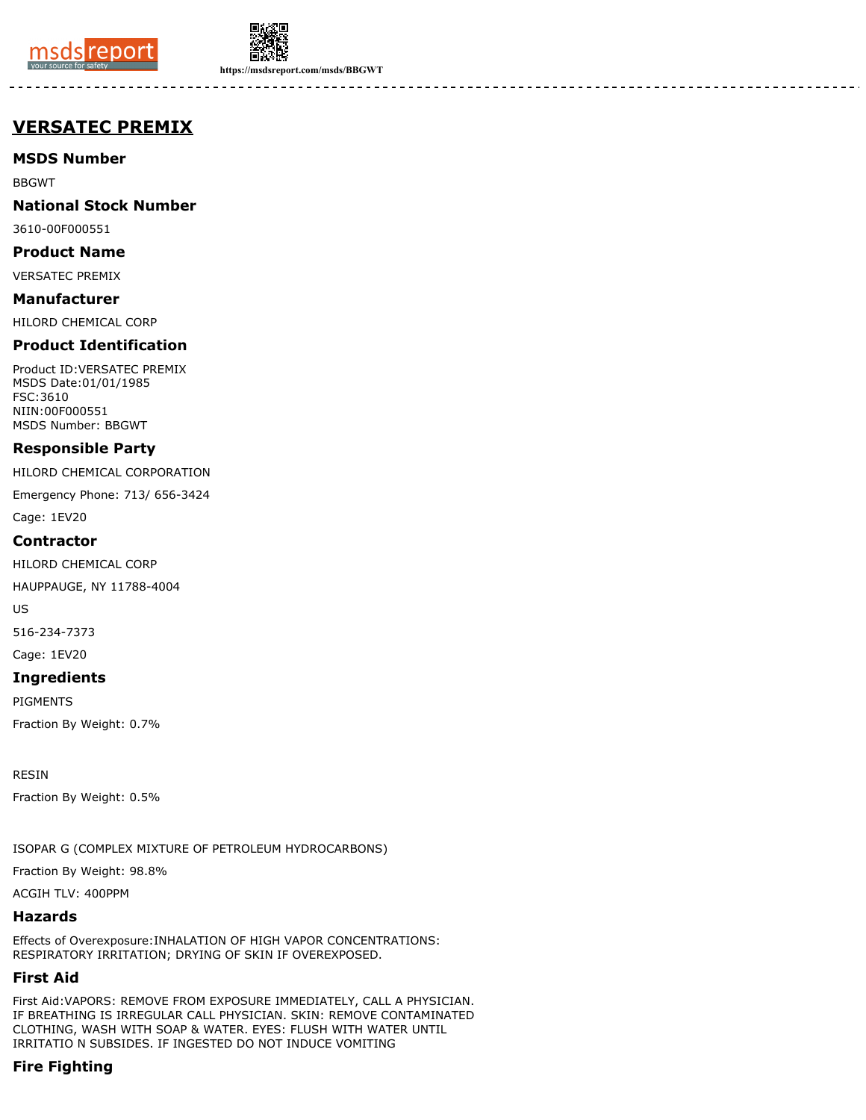



**https://msdsreport.com/msds/BBGWT**

# **VERSATEC PREMIX**

**MSDS Number**

BBGWT

**National Stock Number**

3610-00F000551

**Product Name**

VERSATEC PREMIX

**Manufacturer**

HILORD CHEMICAL CORP

## **Product Identification**

Product ID:VERSATEC PREMIX MSDS Date:01/01/1985 FSC:3610 NIIN:00F000551 MSDS Number: BBGWT

## **Responsible Party**

HILORD CHEMICAL CORPORATION

Emergency Phone: 713/ 656-3424

Cage: 1EV20

## **Contractor**

HILORD CHEMICAL CORP

HAUPPAUGE, NY 11788-4004

US

516-234-7373

Cage: 1EV20

## **Ingredients**

PIGMENTS

Fraction By Weight: 0.7%

RESIN

Fraction By Weight: 0.5%

ISOPAR G (COMPLEX MIXTURE OF PETROLEUM HYDROCARBONS)

Fraction By Weight: 98.8%

ACGIH TLV: 400PPM

## **Hazards**

Effects of Overexposure:INHALATION OF HIGH VAPOR CONCENTRATIONS: RESPIRATORY IRRITATION; DRYING OF SKIN IF OVEREXPOSED.

## **First Aid**

First Aid:VAPORS: REMOVE FROM EXPOSURE IMMEDIATELY, CALL A PHYSICIAN. IF BREATHING IS IRREGULAR CALL PHYSICIAN. SKIN: REMOVE CONTAMINATED CLOTHING, WASH WITH SOAP & WATER. EYES: FLUSH WITH WATER UNTIL IRRITATIO N SUBSIDES. IF INGESTED DO NOT INDUCE VOMITING

## **Fire Fighting**